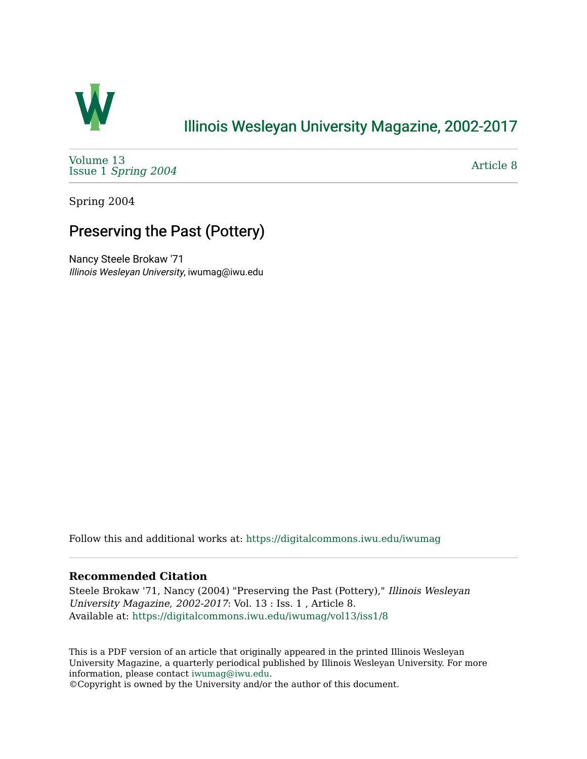

## [Illinois Wesleyan University Magazine, 2002-2017](https://digitalcommons.iwu.edu/iwumag)

[Volume 13](https://digitalcommons.iwu.edu/iwumag/vol13)  Issue 1 [Spring 2004](https://digitalcommons.iwu.edu/iwumag/vol13/iss1)

[Article 8](https://digitalcommons.iwu.edu/iwumag/vol13/iss1/8) 

Spring 2004

# Preserving the Past (Pottery)

Nancy Steele Brokaw '71 Illinois Wesleyan University, iwumag@iwu.edu

Follow this and additional works at: [https://digitalcommons.iwu.edu/iwumag](https://digitalcommons.iwu.edu/iwumag?utm_source=digitalcommons.iwu.edu%2Fiwumag%2Fvol13%2Fiss1%2F8&utm_medium=PDF&utm_campaign=PDFCoverPages) 

#### **Recommended Citation**

Steele Brokaw '71, Nancy (2004) "Preserving the Past (Pottery)," Illinois Wesleyan University Magazine, 2002-2017: Vol. 13 : Iss. 1 , Article 8. Available at: [https://digitalcommons.iwu.edu/iwumag/vol13/iss1/8](https://digitalcommons.iwu.edu/iwumag/vol13/iss1/8?utm_source=digitalcommons.iwu.edu%2Fiwumag%2Fvol13%2Fiss1%2F8&utm_medium=PDF&utm_campaign=PDFCoverPages)

This is a PDF version of an article that originally appeared in the printed Illinois Wesleyan University Magazine, a quarterly periodical published by Illinois Wesleyan University. For more information, please contact [iwumag@iwu.edu](mailto:iwumag@iwu.edu).

©Copyright is owned by the University and/or the author of this document.